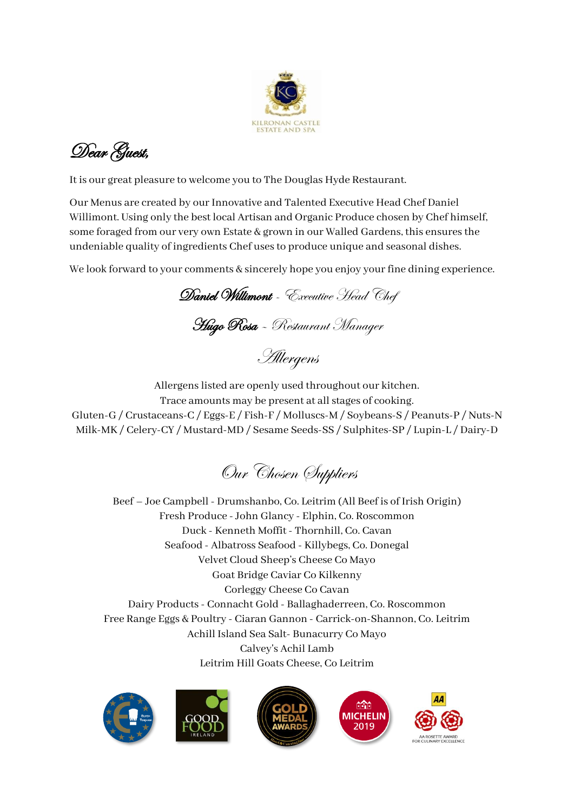

Dear Guest,

It is our great pleasure to welcome you to The Douglas Hyde Restaurant.

Our Menus are created by our Innovative and Talented Executive Head Chef Daniel Willimont. Using only the best local Artisan and Organic Produce chosen by Chef himself, some foraged from our very own Estate & grown in our Walled Gardens, this ensures the undeniable quality of ingredients Chef uses to produce unique and seasonal dishes.

We look forward to your comments & sincerely hope you enjoy your fine dining experience.

Daniel Willimont - Executive Head Chef Hugo Rosa – Restaurant Manager

Allergens

Allergens listed are openly used throughout our kitchen.

Trace amounts may be present at all stages of cooking. Gluten-G / Crustaceans-C / Eggs-E / Fish-F / Molluscs-M / Soybeans-S / Peanuts-P / Nuts-N Milk-MK / Celery-CY / Mustard-MD / Sesame Seeds-SS / Sulphites-SP / Lupin-L / Dairy-D

Our Chosen Suppliers

Beef – Joe Campbell - Drumshanbo, Co. Leitrim (All Beef is of Irish Origin) Fresh Produce - John Glancy - Elphin, Co. Roscommon Duck - Kenneth Moffit - Thornhill, Co. Cavan Seafood - Albatross Seafood - Killybegs, Co. Donegal Velvet Cloud Sheep's Cheese Co Mayo Goat Bridge Caviar Co Kilkenny Corleggy Cheese Co Cavan Dairy Products - Connacht Gold - Ballaghaderreen, Co. Roscommon Free Range Eggs & Poultry - Ciaran Gannon - Carrick-on-Shannon, Co. Leitrim Achill Island Sea Salt- Bunacurry Co Mayo Calvey's Achil Lamb Leitrim Hill Goats Cheese, Co Leitrim









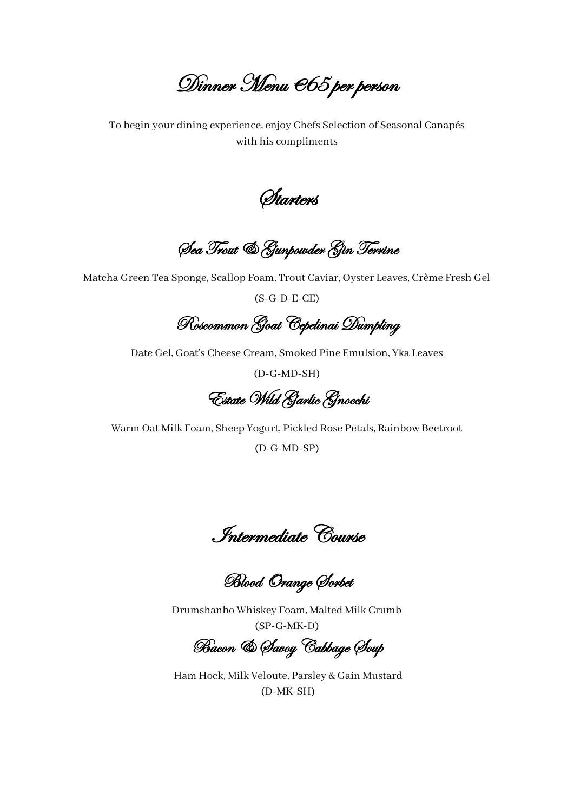Dinner Menu €65 per person

To begin your dining experience, enjoy Chefs Selection of Seasonal Canapés with his compliments

*Starters* 

Sea Trout & Gunpowder Gin Terrine

Matcha Green Tea Sponge, Scallop Foam, Trout Caviar, Oyster Leaves, Crème Fresh Gel

(S-G-D-E-CE)

Roscommon Goat Cepelinai Dumpling

Date Gel, Goat's Cheese Cream, Smoked Pine Emulsion, Yka Leaves

(D-G-MD-SH)

Estate Wild Garlic Gnocchi

Warm Oat Milk Foam, Sheep Yogurt, Pickled Rose Petals, Rainbow Beetroot

(D-G-MD-SP)

Intermediate Course

Blood Orange Sorbet

Drumshanbo Whiskey Foam, Malted Milk Crumb (SP-G-MK-D)

Bacon & Savoy Cabbage Soup

Ham Hock, Milk Veloute, Parsley & Gain Mustard (D-MK-SH)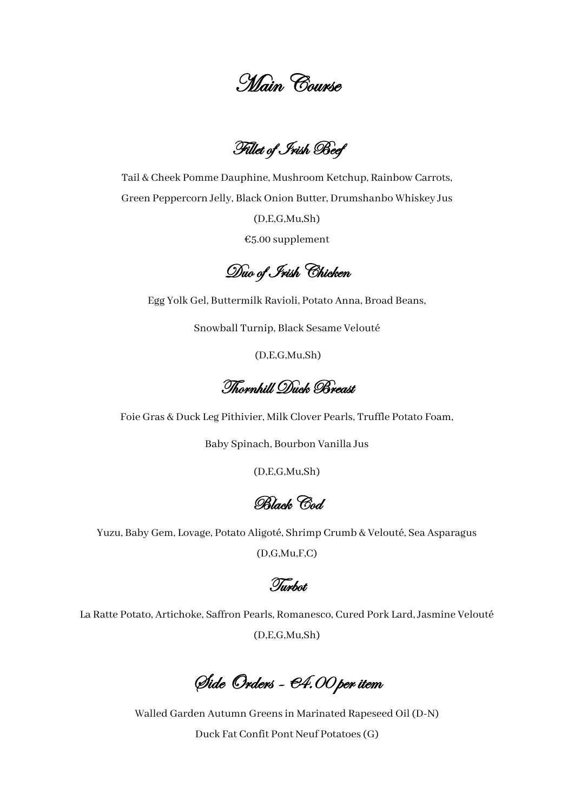Main Course

Fillet of Irish Beef

Tail & Cheek Pomme Dauphine, Mushroom Ketchup, Rainbow Carrots, Green Peppercorn Jelly, Black Onion Butter, Drumshanbo Whiskey Jus

(D,E,G,Mu,Sh)

€5.00 supplement

Duo of Irish Chicken

Egg Yolk Gel, Buttermilk Ravioli, Potato Anna, Broad Beans,

Snowball Turnip, Black Sesame Velouté

(D,E,G,Mu,Sh)

Thornhill Duck Breast

Foie Gras & Duck Leg Pithivier, Milk Clover Pearls, Truffle Potato Foam,

Baby Spinach, Bourbon Vanilla Jus

(D,E,G,Mu,Sh)

Black Cod.

Yuzu, Baby Gem, Lovage, Potato Aligoté, Shrimp Crumb & Velouté, Sea Asparagus

(D,G,Mu,F,C)

Turbot

La Ratte Potato, Artichoke, Saffron Pearls, Romanesco, Cured Pork Lard, Jasmine Velouté (D,E,G,Mu,Sh)

Side Orders - €4.00 per item

Walled Garden Autumn Greens in Marinated Rapeseed Oil (D-N) Duck Fat Confit Pont Neuf Potatoes(G)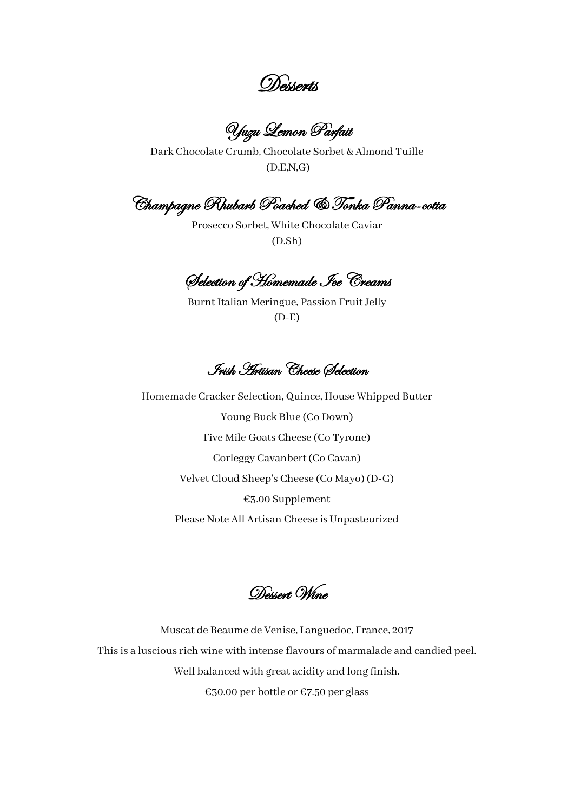Desserts

Yuzu Lemon Parfait

Dark Chocolate Crumb, Chocolate Sorbet & Almond Tuille (D,E,N,G)

Champagne Rhubarb Poached & Tonka Panna-cotta

Prosecco Sorbet, White Chocolate Caviar (D,Sh)

Selection of Homemade Ice Creams

Burnt Italian Meringue, Passion Fruit Jelly (D-E)

Irish Artisan Cheese Selection

Homemade Cracker Selection, Quince, House Whipped Butter Young Buck Blue (Co Down) Five Mile Goats Cheese (Co Tyrone) Corleggy Cavanbert (Co Cavan) Velvet Cloud Sheep's Cheese (Co Mayo) (D-G) €3.00 Supplement Please Note All Artisan Cheese is Unpasteurized

Dessert, Wine

Muscat de Beaume de Venise, Languedoc, France, 2017 This is a luscious rich wine with intense flavours of marmalade and candied peel. Well balanced with great acidity and long finish. €30.00 per bottle or €7.50 per glass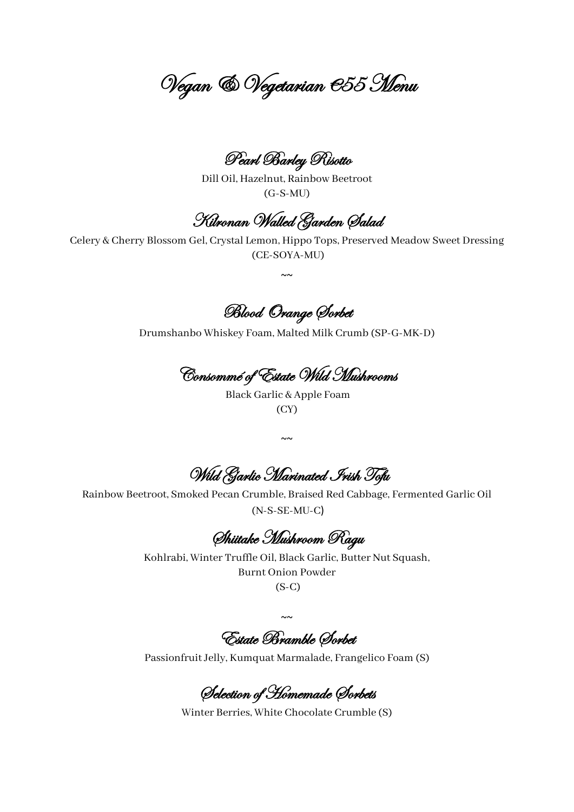Vegan & Vegetarian €55 Menu

Pearl Barley Risotto

Dill Oil, Hazelnut, Rainbow Beetroot (G-S-MU)

Kilronan Walled Garden Salad

Celery & Cherry Blossom Gel, Crystal Lemon, Hippo Tops, Preserved Meadow Sweet Dressing (CE-SOYA-MU)

 $~\sim~$ 

Blood Orange Sorbet

Drumshanbo Whiskey Foam, Malted Milk Crumb (SP-G-MK-D)

Consommé of Estate Wild Mushrooms

Black Garlic & Apple Foam (CY)

~~

Wild Garlic Marinated Irish Tofu

Rainbow Beetroot, Smoked Pecan Crumble, Braised Red Cabbage, Fermented Garlic Oil (N-S-SE-MU-C)

Shiitake Mushroom Ragu

Kohlrabi, Winter Truffle Oil, Black Garlic, Butter Nut Squash, Burnt Onion Powder

(S-C)

 $~\sim~$ 

Estate Bramble Sorbet

Passionfruit Jelly, Kumquat Marmalade, Frangelico Foam (S)

Selection of Homemade Sorbets

Winter Berries, White Chocolate Crumble (S)